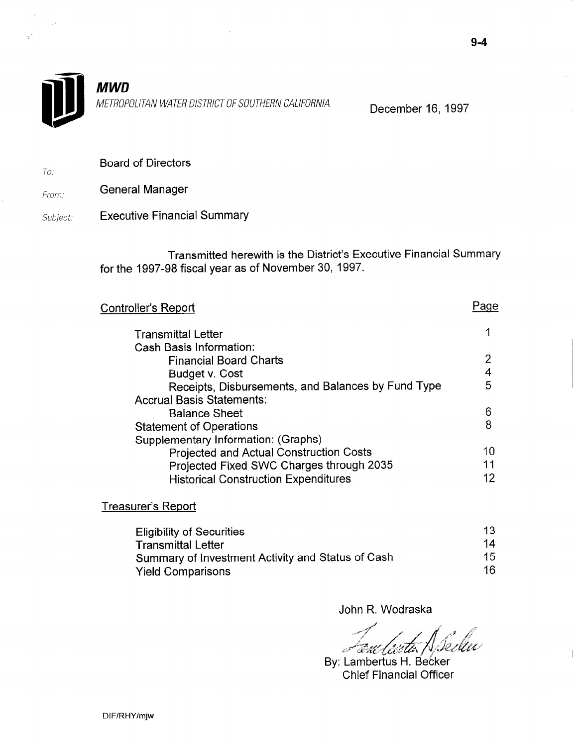

**MWD** METROPOLITAN WATER DISTRICT OF SOUTHERN CALIFORNIA December 16, 1997

To: Board of Directors

From: General Manager

Subject: Executive Financial Summary

> Transmitted herewith is the District's Executive Financial Summary for the 1997-98 fiscal year as of November 30, 1997.

| Controller's Report                                |    |
|----------------------------------------------------|----|
| <b>Transmittal Letter</b>                          | 1  |
| <b>Cash Basis Information:</b>                     |    |
| <b>Financial Board Charts</b>                      | 2  |
| Budget v. Cost                                     |    |
| Receipts, Disbursements, and Balances by Fund Type | 5  |
| <b>Accrual Basis Statements:</b>                   |    |
| <b>Balance Sheet</b>                               | 6  |
| <b>Statement of Operations</b>                     | 8  |
| Supplementary Information: (Graphs)                |    |
| <b>Projected and Actual Construction Costs</b>     | 10 |
| Projected Fixed SWC Charges through 2035           | 11 |
| <b>Historical Construction Expenditures</b>        | 12 |
|                                                    |    |

Treasurer's Report

| <b>Eligibility of Securities</b>                  | 13 |
|---------------------------------------------------|----|
| <b>Transmittal Letter</b>                         | 14 |
| Summary of Investment Activity and Status of Cash | 15 |
| <b>Yield Comparisons</b>                          | 16 |

John R. Wodraska

Spellu 'Eul (ieith) فسيبيدج

 $\begin{array}{c} \hline \end{array}$ 

By: Lambertus H. Becker<br>Chief Financial Officer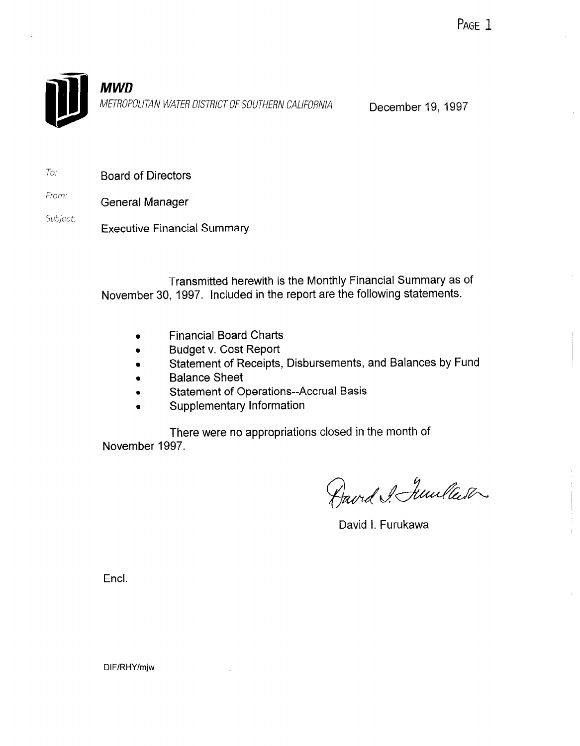

To: Board of Directors

From: General Manager

Subject: Executive Financial Summary

> Transmitted herewith is the Monthly Financial Summary as of November 30, 1997. included in the report are the following statements.

- **•** Financial Board Charts
- <sup>l</sup>Budget v. Cost Report
- **s** Statement of Receipts, Disbursements, and Balances by Fund
- **Balance Sheet**
- **Statement of Operations--Accrual Basis**
- Supplementary Information

There were no appropriations closed in the month of November 1997.

Aavrd & Junlaser

David I. Furukawa

Encl.

DIF/RHY/mjw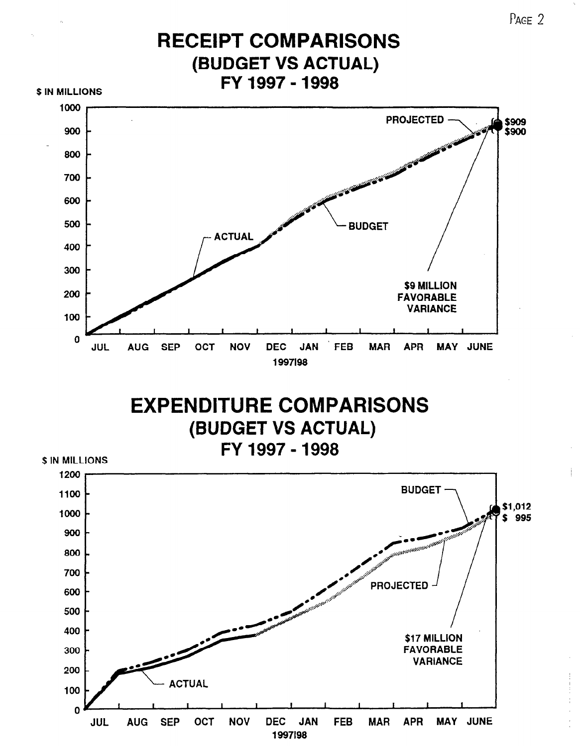

PAGE<sub>2</sub>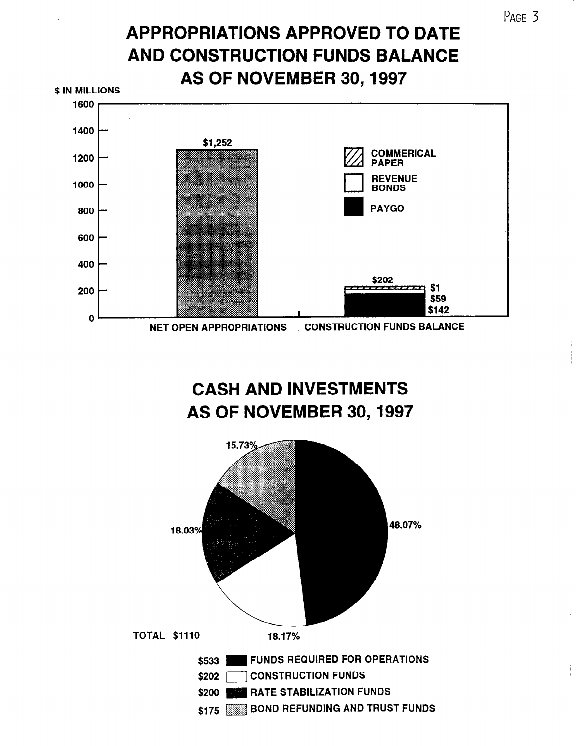# APPROPRIATIONS APPROVED TO DATE AND CONSTRUCTION FUNDS BALANCE AS OF NOVEMBER 30,1997



CASH AND INVESTMENTS AS OF NOVEMBER 30,1997

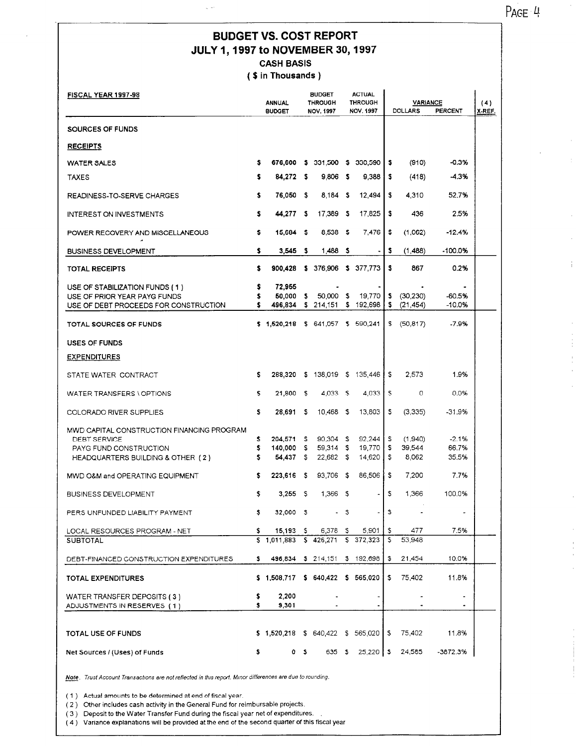PAGE 4

ř.

 $\frac{1}{1}$ 

 $\hat{\boldsymbol{\beta}}$  $\begin{array}{c} \frac{1}{2} \\ \frac{1}{2} \end{array}$  $\frac{1}{2}$  $\hat{\boldsymbol{\theta}}$ 

 $\frac{1}{2}$ 

## BUDGET VS. COST REPORT JULY I,1997 to NOVEMBER 30,1997 CASH BASIS

( \$ in Thousands )

| <b>FISCAL YEAR 1997-98</b>                                                                                                | <b>ANNUAL</b><br><b>BUDGET</b> |                                 | <b>BUDGET</b><br><b>THROUGH</b><br><b>NOV. 1997</b> | <b>ACTUAL</b><br><b>THROUGH</b><br><b>NOV. 1997</b> |               |                                 | <b>VARIANCE</b><br><b>DOLLARS</b><br>PERCENT |                            |                           |  |
|---------------------------------------------------------------------------------------------------------------------------|--------------------------------|---------------------------------|-----------------------------------------------------|-----------------------------------------------------|---------------|---------------------------------|----------------------------------------------|----------------------------|---------------------------|--|
| SOURCES OF FUNDS                                                                                                          |                                |                                 |                                                     |                                                     |               |                                 |                                              |                            |                           |  |
| <b>RECEIPTS</b>                                                                                                           |                                |                                 |                                                     |                                                     |               |                                 |                                              |                            |                           |  |
| <b>WATER SALES</b>                                                                                                        | \$                             |                                 |                                                     |                                                     |               | 676,600 \$ 331,500 \$ 330,590   | \$                                           | (910)                      | -0.3%                     |  |
| <b>TAXES</b>                                                                                                              | s                              | 84,272                          | - \$                                                | $9,806$ \$                                          |               | 9,388                           | s                                            | (418)                      | -4.3%                     |  |
| READINESS-TO-SERVE CHARGES                                                                                                | \$                             | 76,050                          | - \$                                                | $8,184$ \$                                          |               | 12,494                          | \$                                           | 4.310                      | 52.7%                     |  |
| <b>INTEREST ON INVESTMENTS</b>                                                                                            | \$                             | 44,277 \$                       |                                                     | 17,389 \$                                           |               | 17,825                          | \$                                           | 436                        | 2.5%                      |  |
| POWER RECOVERY AND MISCELLANEOUS                                                                                          | \$                             | 15,684                          | - \$                                                | 8,538 \$                                            |               | 7,476                           | \$                                           | (1,062)                    | $-12.4%$                  |  |
| <b>BUSINESS DEVELOPMENT</b>                                                                                               | \$.                            | $3,545$ \$                      |                                                     | 1,488 \$                                            |               | $\sim$                          | \$                                           | (1, 488)                   | -100.0%                   |  |
| <b>TOTAL RECEIPTS</b>                                                                                                     | \$                             | 900,428                         |                                                     |                                                     |               | \$ 376,906 \$ 377,773           | \$                                           | 867                        | 0.2%                      |  |
| USE OF STABILIZATION FUNDS (1)<br>USE OF PRIOR YEAR PAYG FUNDS<br>USE OF DEBT PROCEEDS FOR CONSTRUCTION                   | \$<br>s                        | 72,955<br>50,000<br>496,834     | - \$                                                | 50,000 \$                                           |               | 19,770<br>\$ 214,151 \$ 192,698 | Ş.<br>\$.                                    | (30, 230)<br>(21, 454)     | -60.5%<br>$-10.0%$        |  |
| TOTAL SOURCES OF FUNDS                                                                                                    |                                | \$1,520,218 \$641,057 \$590,241 |                                                     |                                                     |               |                                 |                                              | \$ (50, 817)               | -7.9%                     |  |
| <b>USES OF FUNDS</b>                                                                                                      |                                |                                 |                                                     |                                                     |               |                                 |                                              |                            |                           |  |
| <b>EXPENDITURES</b>                                                                                                       |                                |                                 |                                                     |                                                     |               |                                 |                                              |                            |                           |  |
| STATE WATER CONTRACT                                                                                                      | s                              | 288,320                         |                                                     |                                                     |               | \$ 138,019 \$ 135,446           | \$.                                          | 2,573                      | 1.9%                      |  |
| WATER TRANSFERS \ OPTIONS                                                                                                 | s                              | 21,800                          | -\$                                                 | $4,033$ \$                                          |               | 4,033                           | \$                                           | 0                          | 0.0%                      |  |
| COLORADO RIVER SUPPLIES                                                                                                   | s                              | 28,691                          | - \$                                                | $10,468$ \$                                         |               | 13,803                          | \$                                           | (3,335)                    | -31.9%                    |  |
| MWD CAPITAL CONSTRUCTION FINANCING PROGRAM<br>DEBT SERVICE<br>PAYG FUND CONSTRUCTION<br>HEADQUARTERS BUILDING & OTHER (2) | s<br>\$<br>\$.                 | 204,571 \$<br>140,000<br>54,437 | - 5<br>- S                                          | $90,304$ \$<br>59,314 \$<br>22.682 \$               |               | 92,244<br>19,770<br>14,620      | s<br>s<br>\$.                                | (1,940)<br>39,544<br>8,062 | $-2.1%$<br>66.7%<br>35.5% |  |
| MWD O&M and OPERATING EQUIPMENT                                                                                           | s                              | 223,616                         | - 5                                                 | 93,706 \$                                           |               | 86.506                          | s                                            | 7,200                      | 7.7%                      |  |
| <b>BUSINESS DEVELOPMENT</b>                                                                                               | \$                             | $3,255$ \$                      |                                                     | 1,366 \$                                            |               |                                 | \$                                           | 1,366                      | 100.0%                    |  |
| PERS UNFUNDED LIABILITY PAYMENT                                                                                           | \$.                            | 32,000 \$                       |                                                     |                                                     | $\mathcal{L}$ |                                 | \$.                                          |                            |                           |  |
| LOCAL RESOURCES PROGRAM - NET                                                                                             | \$                             | 15,193                          | -Ş                                                  | 6,378 \$                                            |               | 5,901                           | \$.                                          | 477                        | 7.5%                      |  |
| <b>SUBTOTAL</b>                                                                                                           | \$                             | 1,011,883                       |                                                     | $$426,271$ $$$                                      |               | 372,323                         | s                                            | 53,948                     |                           |  |
| DEBT-FINANCED CONSTRUCTION EXPENDITURES                                                                                   | s                              |                                 |                                                     | 496,834 \$ 214,151                                  |               | \$192,698                       | \$                                           | 21,454                     | 10.0%                     |  |
| TOTAL EXPENDITURES                                                                                                        |                                | \$1,508,717                     |                                                     | \$640,422\$565,020                                  |               |                                 | \$                                           | 75,402                     | 11.8%                     |  |
| WATER TRANSFER DEPOSITS (3)<br>ADJUSTMENTS IN RESERVES (1)                                                                | \$<br>\$                       | 2,200<br>9,301                  |                                                     |                                                     |               |                                 |                                              |                            | $\blacksquare$            |  |
| TOTAL USE OF FUNDS                                                                                                        |                                | \$1,520,218                     |                                                     |                                                     |               | \$ 640,422 \$ 565,020           | Ş.                                           | 75,402                     | 11.8%                     |  |
| Net Sources / (Uses) of Funds                                                                                             | \$                             | ٥                               | \$                                                  | 635 \$                                              |               | $25,220$   \$                   |                                              | 24,585                     | $-3872.3%$                |  |

Note. Trust Account Transactions are not reflected in this report. Minor differences are due to rounding.

(  $1$  )  $\,$  Actual amounts to be determined at end of fiscal year.

 $(2)$  Other includes cash activity in the General Fund for reimbursable projects.

(3) Deposit to the Water Transfer Fund during the fiscal year net of expenditures.<br>(4) Variance explanations will be provided at the end of the second quarter of this fiscal year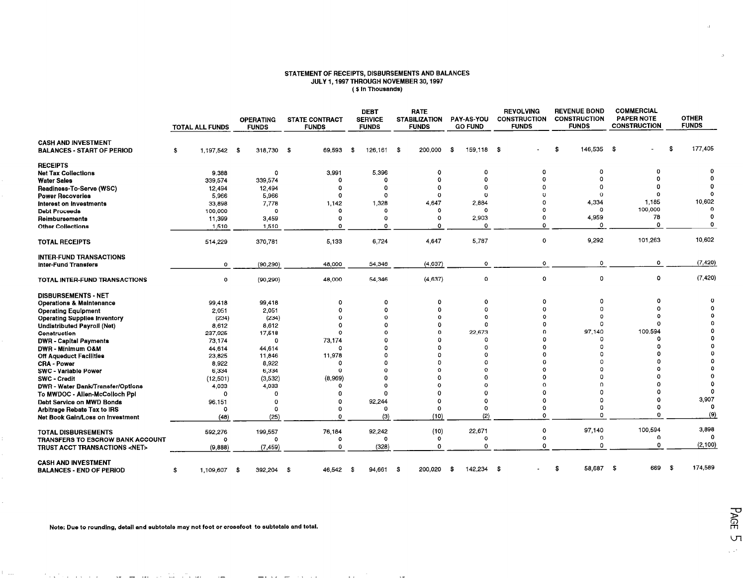#### STATEMENT OF RECEIPTS, DISBURSEMENTS AND BALANCES JULY I,1997 THROUGH NOVEMBER 30,1997 (3 in Thousands)

|                                                                 | <b>TOTAL ALL FUNDS</b> | <b>OPERATING</b><br><b>FUNDS</b> | <b>STATE CONTRACT</b><br><b>FUNDS</b> | <b>DEBT</b><br><b>SERVICE</b><br><b>FUNDS</b> | <b>RATE</b><br><b>STABILIZATION</b><br><b>FUNDS</b> | PAY-AS-YOU<br><b>GO FUND</b> | <b>REVOLVING</b><br><b>CONSTRUCTION</b><br><b>FUNDS</b> | <b>REVENUE BOND</b><br><b>CONSTRUCTION</b><br><b>FUNDS</b> | <b>COMMERCIAL</b><br><b>PAPER NOTE</b><br><b>CONSTRUCTION</b> | <b>OTHER</b><br><b>FUNDS</b> |
|-----------------------------------------------------------------|------------------------|----------------------------------|---------------------------------------|-----------------------------------------------|-----------------------------------------------------|------------------------------|---------------------------------------------------------|------------------------------------------------------------|---------------------------------------------------------------|------------------------------|
| <b>CASH AND INVESTMENT</b><br><b>BALANCES - START OF PERIOD</b> | 1.197.542 \$<br>\$     | 318.730                          | 69,593<br>$\mathbf{s}$                | 126,161<br>-\$                                | 200,000<br>-\$                                      | 159,118 \$<br>- \$           |                                                         | 146,535 \$<br>\$                                           |                                                               | 177,405<br>\$                |
| <b>RECEIPTS</b>                                                 |                        |                                  |                                       |                                               |                                                     |                              |                                                         |                                                            |                                                               |                              |
| <b>Net Tax Collections</b>                                      | 9.388                  | $^{\circ}$                       | 3,991                                 | 5.396                                         | $\Omega$                                            | 0                            | 0                                                       | o                                                          | $\Omega$                                                      | o                            |
| <b>Water Sales</b>                                              | 339,574                | 339,574                          | 0                                     | $\Omega$                                      | $\Omega$                                            | $\Omega$                     | $\Omega$                                                |                                                            | n                                                             |                              |
| Readiness-To-Serve (WSC)                                        | 12.494                 | 12,494                           | 0                                     | $\Omega$                                      |                                                     | 0                            |                                                         |                                                            |                                                               |                              |
| <b>Power Recoveries</b>                                         | 5,966                  | 5,966                            | 0                                     | $\Omega$                                      | $\Omega$                                            | 0                            |                                                         | Ω                                                          | 0                                                             |                              |
| Interest on Investments                                         | 33,898                 | 7,778                            | 1,142                                 | 1,328                                         | 4,647                                               | 2,884                        |                                                         | 4,334                                                      | 1,185                                                         | 10,602<br>$\Omega$           |
| <b>Debt Proceeds</b>                                            | 100,000                | $\Omega$                         | o                                     | $\Omega$                                      | $\Omega$                                            | $\Omega$                     |                                                         | o                                                          | 100,000                                                       | Ω                            |
| Reimbursements                                                  | 11,399                 | 3,459                            | 0                                     | $\Omega$                                      |                                                     | 2,903                        | n                                                       | 4,959<br>$\Omega$                                          | 78<br>$\Omega$                                                | $\Omega$                     |
| <b>Other Collections</b>                                        | 1,510                  | 1,510                            | O                                     | $\Omega$                                      | $\Omega$                                            | $\Omega$                     | 0                                                       |                                                            |                                                               |                              |
| <b>TOTAL RECEIPTS</b>                                           | 514,229                | 370,781                          | 5,133                                 | 6,724                                         | 4.647                                               | 5,787                        | 0                                                       | 9,292                                                      | 101,263                                                       | 10,602                       |
| <b>INTER-FUND TRANSACTIONS</b>                                  |                        |                                  |                                       |                                               |                                                     |                              |                                                         |                                                            |                                                               |                              |
| Inter-Fund Transfers                                            | $\mathbf 0$            | (90, 290)                        | 48,000                                | 54,346                                        | (4,637)                                             | 0                            | $\mathbf 0$                                             | 0                                                          | ٥                                                             | (7, 420)                     |
| TOTAL INTER-FUND TRANSACTIONS                                   | $\mathbf 0$            | (90, 290)                        | 48,000                                | 54,346                                        | (4,637)                                             | 0                            | 0                                                       | $\mathbf 0$                                                | 0                                                             | (7, 420)                     |
| <b>DISBURSEMENTS - NET</b>                                      |                        |                                  |                                       |                                               |                                                     |                              |                                                         |                                                            |                                                               |                              |
| <b>Operations &amp; Maintenance</b>                             | 99.418                 | 99,418                           | 0                                     | $\Omega$                                      | $\Omega$                                            | $\Omega$                     | $\Omega$                                                | 0                                                          | 0                                                             | $\Omega$                     |
| <b>Operating Equipment</b>                                      | 2.051                  | 2,051                            | $\mathbf 0$                           | $\Omega$                                      | $\Omega$                                            | $\Omega$                     | $\Omega$                                                | $\Omega$                                                   | Ω                                                             | $\Omega$                     |
| <b>Operating Supplies Inventory</b>                             | (234)                  | (234)                            | $\Omega$                              | $\Omega$                                      | $\Omega$                                            | $\Omega$                     |                                                         | $\Omega$                                                   |                                                               |                              |
| <b>Undistributed Payroll (Net)</b>                              | 8.612                  | 8,612                            | $\Omega$                              | $\Omega$                                      |                                                     | $\Omega$                     |                                                         | $\Omega$                                                   | Ω                                                             |                              |
| Construction                                                    | 237,925                | 17,518                           | $\Omega$                              | $\Omega$                                      | $\Omega$                                            | 22,673                       |                                                         | 97,140                                                     | 100,594<br>$\Omega$                                           |                              |
| <b>DWR</b> - Capital Payments                                   | 73,174                 | $\Omega$                         | 73,174                                | $\Omega$                                      |                                                     | $\Omega$                     |                                                         | Ω                                                          |                                                               |                              |
| DWR - Minimum O&M                                               | 44.614                 | 44.614                           | 0                                     | $\Omega$                                      |                                                     | $\Omega$<br>$\Omega$         |                                                         |                                                            |                                                               |                              |
| <b>Off Aqueduct Facilities</b>                                  | 23,825                 | 11.846                           | 11,978                                | $\Omega$<br>$\Omega$                          |                                                     | Ω                            |                                                         |                                                            |                                                               |                              |
| <b>CRA - Power</b>                                              | 8,922                  | 8,922                            | 0<br>$\Omega$                         | $\Omega$                                      |                                                     | Ω                            |                                                         |                                                            |                                                               |                              |
| <b>SWC - Variable Power</b>                                     | 6,334                  | 6,334                            |                                       | $\Omega$                                      |                                                     | $\Omega$                     |                                                         |                                                            |                                                               |                              |
| <b>SWC - Credit</b><br>DWR - Water Bank/Transfer/Options        | (12, 501)              | (3,532)<br>4,033                 | (8,969)<br>$\Omega$                   | $\Omega$                                      |                                                     | n                            |                                                         |                                                            |                                                               |                              |
| To MWDOC - Allen-McColloch Ppl                                  | 4,033<br>$\Omega$      | $\Omega$                         | $\Omega$                              | $\Omega$                                      |                                                     | $\Omega$                     |                                                         |                                                            |                                                               | 0                            |
| Debt Service on MWD Bonds                                       | 96.151                 | $\Omega$                         | $\Omega$                              | 92,244                                        |                                                     | 0                            |                                                         |                                                            | Ω                                                             | 3,907                        |
| <b>Arbitrage Rebate Tax to IRS</b>                              | 0                      | $\Omega$                         | O                                     | $\Omega$                                      | ŋ                                                   | $\Omega$                     | $\Omega$                                                | o                                                          | 0                                                             | 0                            |
| Net Book Gain/Loss on Investment                                | (48)                   | (25)                             | <sub>0</sub>                          | (3)                                           | (10)                                                | (2)                          | $\Omega$                                                | <sub>0</sub>                                               | $\Omega$                                                      | (9)                          |
|                                                                 |                        |                                  |                                       |                                               |                                                     |                              |                                                         |                                                            |                                                               |                              |
| <b>TOTAL DISBURSEMENTS</b>                                      | 592,276                | 199,557                          | 76,184                                | 92,242                                        | (10)                                                | 22,671                       | 0                                                       | 97,140                                                     | 100,594<br>$\Omega$                                           | 3,898<br>0                   |
| <b>TRANSFERS TO ESCROW BANK ACCOUNT</b>                         | $\Omega$               | $\Omega$                         | O                                     | $\mathbf{o}$                                  | $\Omega$                                            | $\circ$                      | 0<br>$\Omega$                                           | 0<br>$\mathbf{o}$                                          | 0                                                             | (2, 100)                     |
| TRUST ACCT TRANSACTIONS <net></net>                             | (9,888)                | (7, 459)                         | <sup>0</sup>                          | (328)                                         | $\Omega$                                            | $\Omega$                     |                                                         |                                                            |                                                               |                              |
| <b>CASH AND INVESTMENT</b><br><b>BALANCES - END OF PERIOD</b>   | 1,109,607 \$<br>\$     | 392,204                          | -\$<br>46,542                         | 94,661<br>-\$                                 | 200,020<br>- \$                                     | 142,234 \$<br>- \$           |                                                         | 58,687 \$<br>\$                                            | 669                                                           | 174,589<br>- \$              |

Note: Due to rounding, detail and subtotals may not foot or crossfoot to subtotals and total.

 $\sim$   $\sim$   $\sim$ 

الله المستخدمات المستخدمات المستخدمات المستخدمات المستخدمات المستخدمات المستخدمات المستخدمات المستخدمات المستخدمات

PAGE  $\sqrt{2}$  $\chi$  and

 $\rightarrow$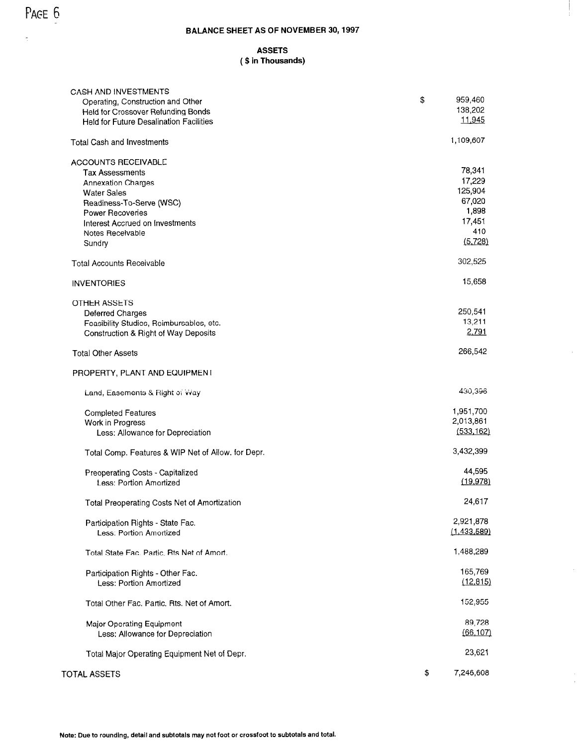### BALANCE SHEET AS OF NOVEMBER 30,1997

#### ASSETS ( \$ in Thousands)

| <b>CASH AND INVESTMENTS</b>                        |                   |
|----------------------------------------------------|-------------------|
| Operating, Construction and Other                  | \$<br>959,460     |
| <b>Held for Crossover Refunding Bonds</b>          | 138,202<br>11,945 |
| <b>Held for Future Desalination Facilities</b>     |                   |
| <b>Total Cash and Investments</b>                  | 1,109,607         |
| ACCOUNTS RECEIVABLE                                |                   |
| <b>Tax Assessments</b>                             | 78,341            |
| <b>Annexation Charges</b>                          | 17,229            |
| <b>Water Sales</b>                                 | 125,904           |
| Readiness-To-Serve (WSC)                           | 67,020            |
| Power Recoveries                                   | 1,898             |
| Interest Accrued on Investments                    | 17,451            |
| Notes Receivable                                   | 410               |
| Sundry                                             | (5, 728)          |
| <b>Total Accounts Receivable</b>                   | 302,525           |
| <b>INVENTORIES</b>                                 | 15,658            |
| OTHER ASSETS                                       |                   |
| Deferred Charges                                   | 250,541           |
| Feasibility Studies, Reimbursables, etc.           | 13,211            |
| Construction & Right of Way Deposits               | 2.791             |
| <b>Total Other Assets</b>                          | 266,542           |
| PROPERTY, PLANT AND EQUIPMENT                      |                   |
| Land, Easements & Right of Way                     | 430,396           |
| <b>Completed Features</b>                          | 1,951,700         |
| Work in Progress                                   | 2,013,861         |
| Less: Allowance for Depreciation                   | (533, 162)        |
|                                                    |                   |
| Total Comp. Features & WIP Net of Allow. for Depr. | 3,432,399         |
| Preoperating Costs - Capitalized                   | 44,595            |
| Less: Portion Amortized                            | (19,978)          |
|                                                    |                   |
| Total Preoperating Costs Net of Amortization       | 24,617            |
| Participation Rights - State Fac.                  | 2,921,878         |
| Less: Portion Amortized                            | (1,433,589)       |
|                                                    | 1,488,289         |
| Total State Fac. Partic. Rts Net of Amort.         |                   |
| Participation Rights - Other Fac.                  | 165,769           |
| Less: Portion Amortized                            | (12.815)          |
|                                                    | 152,955           |
| Total Other Fac. Partic. Rts. Net of Amort.        |                   |
| Major Operating Equipment                          | 89,728            |
| Less: Allowance for Depreciation                   | (66, 107)         |
|                                                    | 23,621            |
| Total Major Operating Equipment Net of Depr.       |                   |
| <b>TOTAL ASSETS</b>                                | \$<br>7,246,608   |

 $\hat{\mathcal{A}}$ 

l,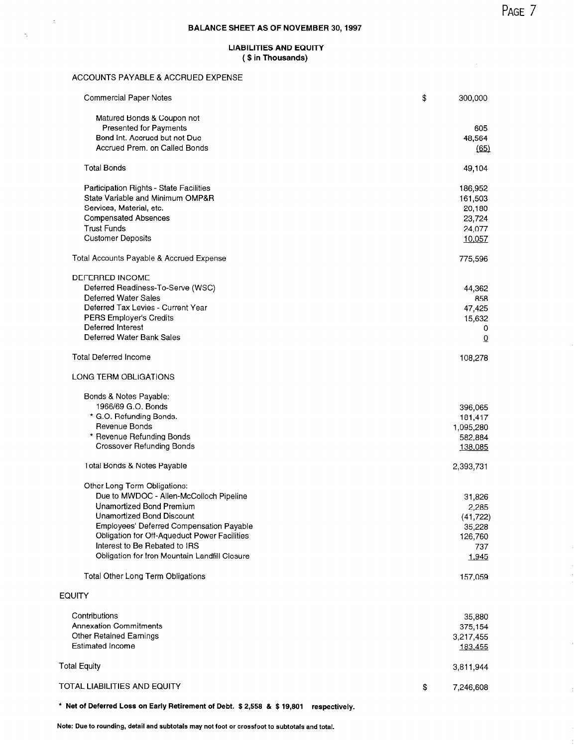$\hat{\boldsymbol{\theta}}$  $\hat{\boldsymbol{\beta}}$  $\hat{\boldsymbol{\cdot}$ 

 $\bar{1}$ 

 $\frac{1}{4}$ 

### BALANCE SHEET AS OF NOVEMBER 30,1997

#### LIABILITIES AND EQUITY ( \$ in Thousands)

#### ACCOUNTS PAYABLE & ACCRUED EXPENSE

 $\overline{z}$ 

 $\hat{\gamma}$ 

| <b>Commercial Paper Notes</b>                 | \$<br>300,000   |
|-----------------------------------------------|-----------------|
| Matured Bonds & Coupon not                    |                 |
| <b>Presented for Payments</b>                 | 605             |
| Bond Int, Accrued but not Due                 | 48,564          |
| Accrued Prem. on Called Bonds                 | (65)            |
| <b>Total Bonds</b>                            | 49,104          |
| Participation Rights - State Facilities       | 186,952         |
| State Variable and Minimum OMP&R              | 161,503         |
| Services, Material, etc.                      | 20,180          |
| <b>Compensated Absences</b>                   | 23,724          |
| <b>Trust Funds</b>                            | 24,077          |
| <b>Customer Deposits</b>                      | 10,057          |
| Total Accounts Payable & Accrued Expense      | 775,596         |
| DEFERRED INCOME                               |                 |
| Deferred Readiness-To-Serve (WSC)             | 44,362          |
| Deferred Water Sales                          | 858             |
| Deferred Tax Levies - Current Year            | 47,425          |
| PERS Employer's Credits                       | 15,632          |
| Deferred Interest                             | 0               |
| Deferred Water Bank Sales                     | $\overline{0}$  |
| <b>Total Deferred Income</b>                  | 108,278         |
| LONG TERM OBLIGATIONS                         |                 |
| Bonds & Notes Payable:                        |                 |
| 1966/69 G.O. Bonds                            | 396,065         |
| * G.O. Refunding Bonds.                       | 181,417         |
| Revenue Bonds                                 | 1,095,280       |
| * Revenue Refunding Bonds                     | 582,884         |
| <b>Crossover Refunding Bonds</b>              | 138,085         |
| Total Bonds & Notes Payable                   | 2,393,731       |
| Other Long Term Obligations:                  |                 |
| Due to MWDOC - Allen-McColloch Pipeline       | 31,826          |
| Unamortized Bond Premium                      | 2,285           |
| Unamortized Bond Discount                     | (41, 722)       |
| Employees' Deferred Compensation Payable      | 35,228          |
| Obligation for Off-Aqueduct Power Facilities  | 126,760         |
| Interest to Be Rebated to IRS                 | 737             |
| Obligation for Iron Mountain Landfill Closure | 1,945           |
| Total Other Long Term Obligations             | 157,059         |
| <b>EQUITY</b>                                 |                 |
| Contributions                                 | 35,880          |
| <b>Annexation Commitments</b>                 | 375,154         |
| <b>Other Retained Earnings</b>                | 3,217,455       |
| <b>Estimated Income</b>                       | 183,455         |
|                                               |                 |
| <b>Total Equity</b>                           | 3,811,944       |
| TOTAL LIABILITIES AND EQUITY                  | \$<br>7,246,608 |

\* Net of Deferred Loss on Early Retirement of Debt. \$2,558 8 \$ 19,801 respectively.

Note: Due to rounding, detail and subtotals may not foot or crossfoot to subtotals and total.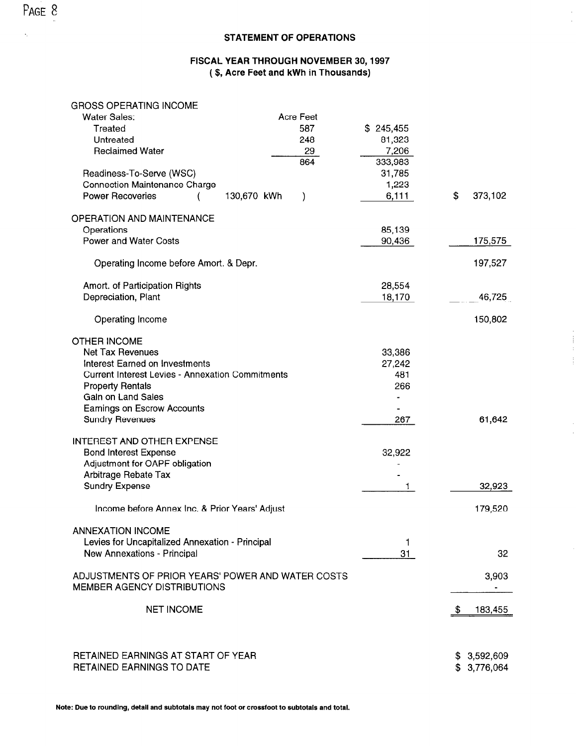#### STATEMENT OF OPERATIONS

### FISCAL YEAR THROUGH NOVEMBER 30,1997 (\$, Acre Feet and kWh in Thousands)

| <b>GROSS OPERATING INCOME</b>                                                           |                  |                |    |                            |
|-----------------------------------------------------------------------------------------|------------------|----------------|----|----------------------------|
| <b>Water Sales:</b>                                                                     | <b>Acre Feet</b> |                |    |                            |
| Treated                                                                                 | 587              | \$245,455      |    |                            |
| Untreated                                                                               | 248              | 81,323         |    |                            |
| <b>Reclaimed Water</b>                                                                  | 29               | 7,206          |    |                            |
|                                                                                         | 864              | 333,983        |    |                            |
| Readiness-To-Serve (WSC)                                                                |                  | 31,785         |    |                            |
| <b>Connection Maintenance Charge</b>                                                    |                  | 1,223          |    |                            |
| <b>Power Recoveries</b><br>130,670 kWh                                                  | $\mathcal{C}$    | 6,111          | \$ | 373,102                    |
| <b>OPERATION AND MAINTENANCE</b>                                                        |                  |                |    |                            |
| Operations                                                                              |                  | 85,139         |    |                            |
| <b>Power and Water Costs</b>                                                            |                  | 90,436         |    | 175,575                    |
| Operating Income before Amort. & Depr.                                                  |                  |                |    | 197,527                    |
| Amort. of Participation Rights                                                          |                  | 28,554         |    |                            |
| Depreciation, Plant                                                                     |                  | 18,170         |    | 46,725                     |
| Operating Income                                                                        |                  |                |    | 150,802                    |
| <b>OTHER INCOME</b>                                                                     |                  |                |    |                            |
| <b>Net Tax Revenues</b>                                                                 |                  | 33,386         |    |                            |
| Interest Earned on Investments                                                          |                  | 27,242         |    |                            |
| <b>Current Interest Levies - Annexation Commitments</b>                                 |                  | 481            |    |                            |
| <b>Property Rentals</b>                                                                 |                  | 266            |    |                            |
| Gain on Land Sales                                                                      |                  | $\blacksquare$ |    |                            |
| <b>Eamings on Escrow Accounts</b>                                                       |                  |                |    |                            |
| <b>Sundry Revenues</b>                                                                  |                  | 267            |    | 61,642                     |
| <b>INTEREST AND OTHER EXPENSE</b>                                                       |                  |                |    |                            |
| <b>Bond Interest Expense</b>                                                            |                  | 32,922         |    |                            |
| Adjustment for OAPF obligation                                                          |                  |                |    |                            |
| Arbitrage Rebate Tax                                                                    |                  |                |    |                            |
| <b>Sundry Expense</b>                                                                   |                  | 1.             |    | 32,923                     |
| Income before Annex Inc. & Prior Years' Adjust                                          |                  |                |    | 179,520                    |
| <b>ANNEXATION INCOME</b>                                                                |                  |                |    |                            |
| Levies for Uncapitalized Annexation - Principal                                         |                  | 1              |    |                            |
| New Annexations - Principal                                                             |                  | 31             |    | 32                         |
| ADJUSTMENTS OF PRIOR YEARS' POWER AND WATER COSTS<br><b>MEMBER AGENCY DISTRIBUTIONS</b> |                  |                |    | 3,903                      |
| <b>NET INCOME</b>                                                                       |                  |                | -S | 183,455                    |
| RETAINED EARNINGS AT START OF YEAR<br><b>RETAINED EARNINGS TO DATE</b>                  |                  |                |    | \$3,592,609<br>\$3.776.064 |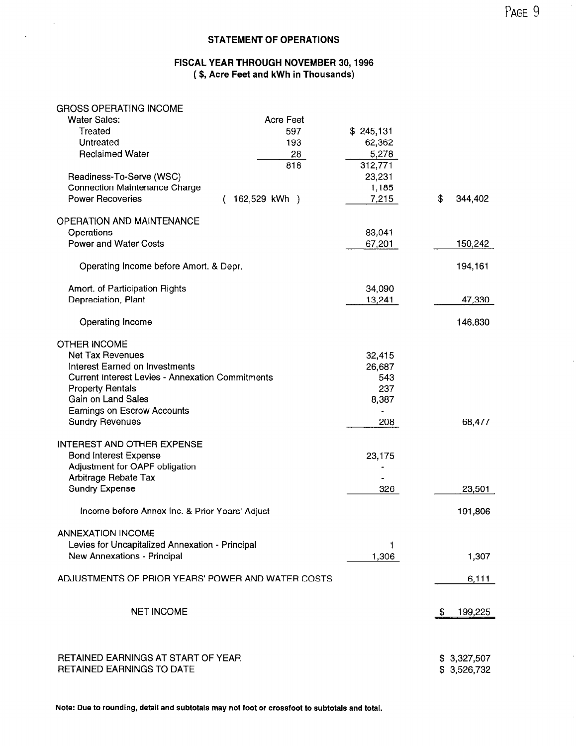#### STATEMENT OF OPERATIONS

#### FISCAL YEAR THROUGH NOVEMBER 30,1996 (\$, Acre Feet and kWh in Thousands)

#### GROSS OPERATING INCOME

 $\overline{a}$ 

| <b>Water Sales:</b>                                     | <b>Acre Feet</b> |           |               |
|---------------------------------------------------------|------------------|-----------|---------------|
| Treated                                                 | 597              | \$245,131 |               |
| Untreated                                               | 193              | 62,362    |               |
| <b>Reclaimed Water</b>                                  | 28               | 5,278     |               |
|                                                         | 818              | 312,771   |               |
| Readiness-To-Serve (WSC)                                |                  | 23,231    |               |
| <b>Connection Maintenance Charge</b>                    |                  | 1,185     |               |
| <b>Power Recoveries</b>                                 | 162,529 kWh )    | 7,215     | \$<br>344,402 |
|                                                         |                  |           |               |
| <b>OPERATION AND MAINTENANCE</b>                        |                  |           |               |
| Operations                                              |                  | 83,041    |               |
| <b>Power and Water Costs</b>                            |                  | 67,201    | 150,242       |
|                                                         |                  |           |               |
| Operating Income before Amort. & Depr.                  |                  |           | 194,161       |
|                                                         |                  |           |               |
| Amort. of Participation Rights                          |                  | 34,090    |               |
| Depreciation, Plant                                     |                  | 13,241    | 47,330        |
|                                                         |                  |           |               |
| Operating Income                                        |                  |           | 146,830       |
|                                                         |                  |           |               |
| <b>OTHER INCOME</b>                                     |                  |           |               |
| <b>Net Tax Revenues</b>                                 |                  | 32,415    |               |
| Interest Earned on Investments                          |                  | 26,687    |               |
| <b>Current Interest Levies - Annexation Commitments</b> |                  | 543       |               |
| <b>Property Rentals</b>                                 |                  | 237       |               |
|                                                         |                  |           |               |
| Gain on Land Sales                                      |                  | 8,387     |               |
| <b>Earnings on Escrow Accounts</b>                      |                  |           |               |
| <b>Sundry Revenues</b>                                  |                  | 208       | 68,477        |
|                                                         |                  |           |               |
| <b>INTEREST AND OTHER EXPENSE</b>                       |                  |           |               |
| <b>Bond Interest Expense</b>                            |                  | 23,175    |               |
| Adjustment for OAPF obligation                          |                  |           |               |
| Arbitrage Rebate Tax                                    |                  |           |               |
| <b>Sundry Expense</b>                                   |                  | 326       | 23,501        |
|                                                         |                  |           |               |
| Income before Annex Inc. & Prior Years' Adjust          |                  |           | 191,806       |
|                                                         |                  |           |               |
| <b>ANNEXATION INCOME</b>                                |                  |           |               |
| Levies for Uncapitalized Annexation - Principal         |                  | 1         |               |
| New Annexations - Principal                             |                  | 1,306     | 1,307         |
|                                                         |                  |           |               |
| ADJUSTMENTS OF PRIOR YEARS' POWER AND WATER COSTS       |                  |           | 6,111         |
|                                                         |                  |           |               |
|                                                         |                  |           |               |
| <b>NET INCOME</b>                                       |                  |           | 199,225<br>S. |
|                                                         |                  |           |               |
|                                                         |                  |           |               |
|                                                         |                  |           |               |
| RETAINED EARNINGS AT START OF YEAR                      |                  |           | \$3,327,507   |
| RETAINED EARNINGS TO DATE                               |                  |           | \$3,526,732   |

Note: Due to rounding, detail and subtotals may not foot or crossfoot to subtotals and total.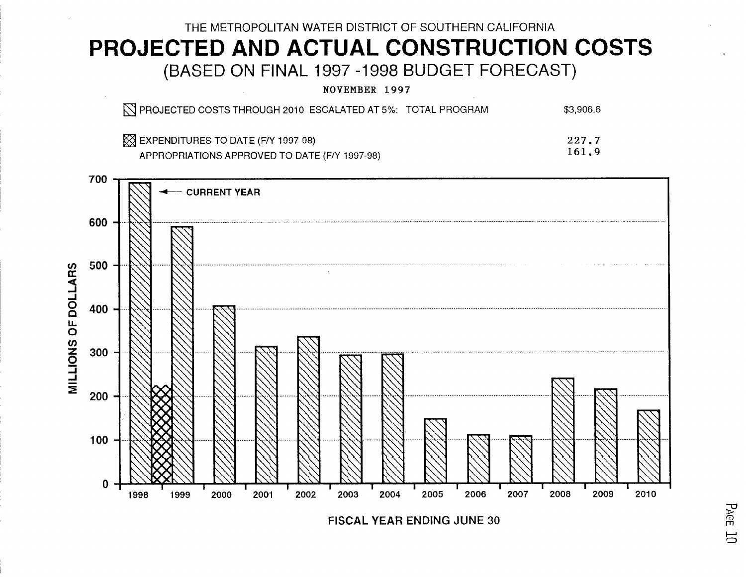# THE METROPOLITAN WATER DISTRICT OF SOUTHERN CALIFORNIA PROJECTED AND ACTUAL CONSTRUCTION COSTS (BASED ON FINAL 1997 -1998 BUDGET FORECAST)

NOVEMBER 1997

| N PROJECTED COSTS THROUGH 2010 ESCALATED AT 5%: TOTAL PROGRAM | \$3,906.6 |
|---------------------------------------------------------------|-----------|
| $\boxtimes$ EXPENDITURES TO DATE (F/Y 1997-98)                | 227.7     |
| APPROPRIATIONS APPROVED TO DATE (EN 1997-98)                  | 161.9     |



**FISCAL YEAR ENDING JUNE 30**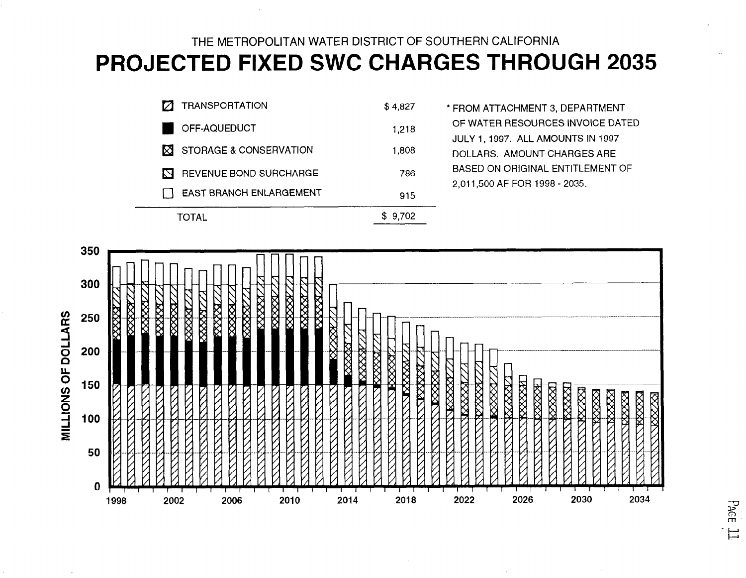# THE METROPOLITAN WATER DISTRICT OF SOUTHERN CALIFORNIA PROJECTED FIXED SWC CHARGES THROUGH 2035

|   | TRANSPORTATION                  | \$4,827 | * |
|---|---------------------------------|---------|---|
|   | OFF-AQUEDUCT                    | 1,218   |   |
|   | <b>X</b> STORAGE & CONSERVATION | 1,808   |   |
| М | REVENUE BOND SURCHARGE          | 786     |   |
|   | EAST BRANCH ENLARGEMENT         | 915     |   |
|   | )TAL                            | 9.702   |   |

FROM ATTACHMENT 3, DEPARTMENT OF WATER RESOURCES INVOICE DATED JULY 1,1997. ALL AMOUNTS IN 1997 DOLLARS. AMOUNT CHARGES ARE BASED ON ORIGINAL ENTITLEMENT OF 2,011,500 AF FOR 1998 - 2035.



PAGE  $\frac{1}{\sqrt{2}}$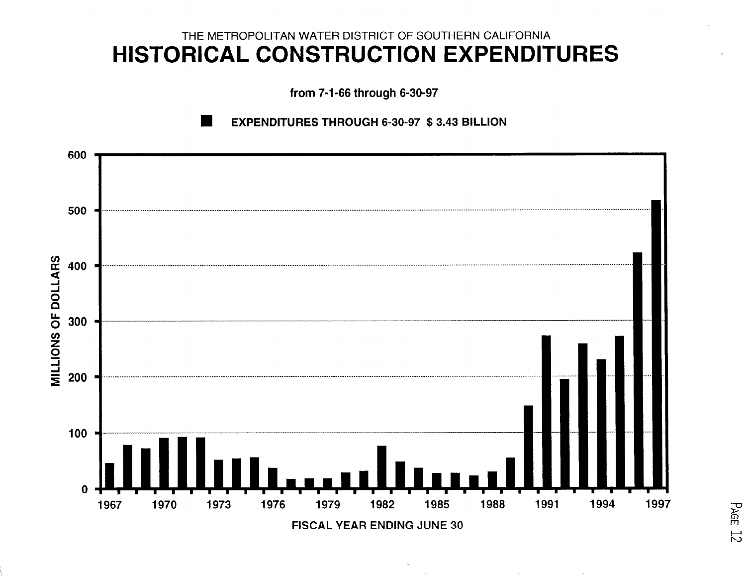# THE METROPOLITAN WATER DISTRICT OF SOUTHERN CALIFORNIA HISTORICAL CONSTRUCTION EXPENDITURES

from 7-1-66 through 6-30-97





**PAGE 12**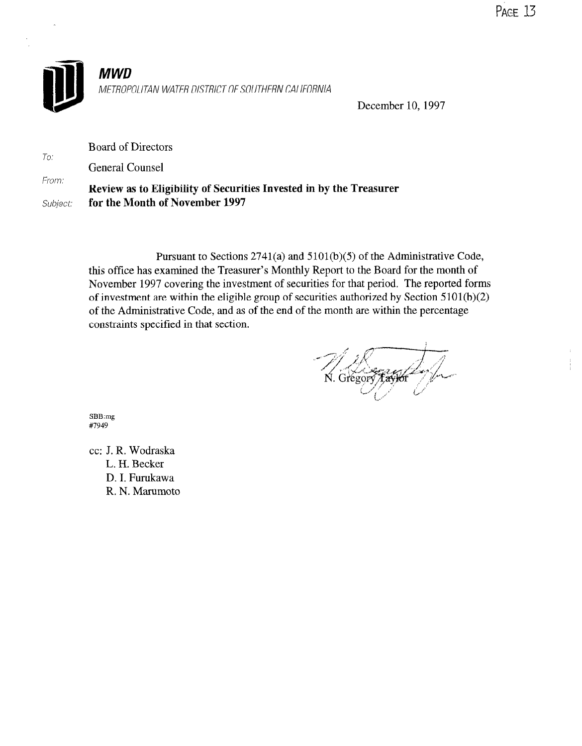

METROPOLITAN WATER DISTRICT OF SOUTHERN CALIFORNIA

December 10, 1997

Board of Directors

To: General Counsel

From: Review as to Eligibility of Securities Invested in by the Treasurer Subject: for the Month of November 1997

> Pursuant to Sections 2741(a) and 5101(b)(5) of the Administrative Code, this office has examined the Treasurer's Monthly Report to the Board for the month of November 1997 covering the investment of securities for that period. The reported forms of investment are within the eligible group of securities authorized by Section 5101(b)(2) of the Administrative Code, and as of the end of the month are within the percentage constraints specitied in that section.

N. Gregor

569.

cc: J. R. Wodraska J. K. WUULAS L. H. Becker D. I. Furukawa<br>R. N. Marumoto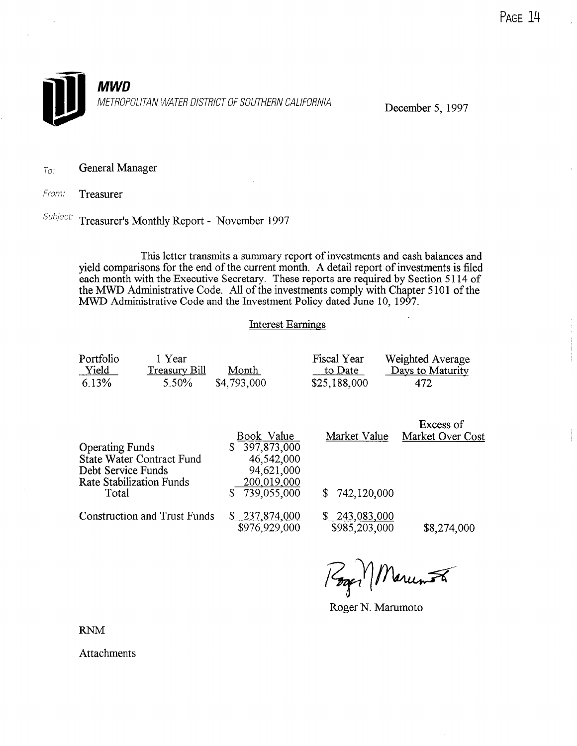

To: General Manager

From: Treasurer

Subject: Treasurer's Monthly Report - November 1997

This letter transmits a summary report of investments and cash balances and yield comparisons for the end of the current month. A detail report of investments is filed each month with the Executive Secretary. These reports are required by Section 5114 of the MWD Administrative Code. All of the investments comply with Chapter 5101 of the MWD Administrative Code and the Investment Policy dated June 10, 1997.

### Interest Earnings

| Portfolio<br>Yield<br>6.13%                           | 1 Year<br><b>Treasury Bill</b><br>5.50%                      | Month<br>\$4,793,000                                                                            | <b>Fiscal Year</b><br>to Date<br>\$25,188,000 | Weighted Average<br>Days to Maturity<br>472 |
|-------------------------------------------------------|--------------------------------------------------------------|-------------------------------------------------------------------------------------------------|-----------------------------------------------|---------------------------------------------|
| <b>Operating Funds</b><br>Debt Service Funds<br>Total | <b>State Water Contract Fund</b><br>Rate Stabilization Funds | Book Value<br>397,873,000<br>\$<br>46,542,000<br>94,621,000<br>200,019,000<br>739,055,000<br>\$ | Market Value<br>742,120,000<br>S.             | Excess of<br>Market Over Cost               |
|                                                       | <b>Construction and Trust Funds</b>                          | \$ 237,874,000<br>\$976.929.000                                                                 | 243,083,000<br>S.<br>\$985.203.000            | SS 274.000                                  |

Roger N. Marumoto

**RNM** 

**Attachments**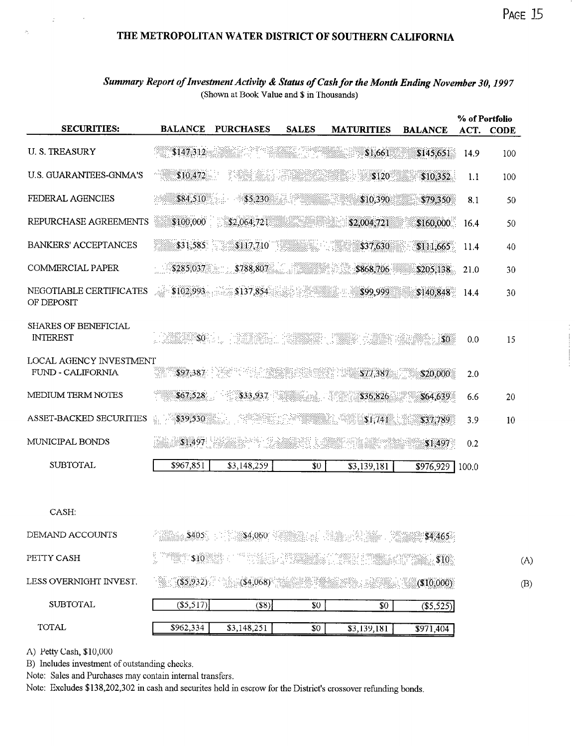### THE METROPOLITAN WATER DISTRICT OF SOUTHERN CALIFORNIA

### Summary Report of Investment Activity & Status of Cash for the Month Ending November 30, 1997 (Shown at Book Value and \$ in Thousands)

| <b>SECURITIES:</b>                                  | <b>BALANCE</b> | <b>PURCHASES</b>       | <b>SALES</b>    | <b>MATURITIES</b> | <b>BALANCE</b> | ACT.  | % of Portfolio<br><b>CODE</b> |
|-----------------------------------------------------|----------------|------------------------|-----------------|-------------------|----------------|-------|-------------------------------|
| <b>U.S. TREASURY</b>                                | \$147,312      |                        |                 | \$1,661           | \$145,651      | 14.9  | 100                           |
| <b>U.S. GUARANTEES-GNMA'S</b>                       | \$10,472       |                        |                 | \$120             | \$10,352       | 1.1   | 100                           |
| FEDERAL AGENCIES                                    | \$84,510       | \$5,230                | 22 PR           | \$10,390          | \$79,350       | 8.1   | 50                            |
| REPURCHASE AGREEMENTS                               | \$100,000      | \$2,064,721            |                 | \$2,004,721       | \$160,000      | 16.4  | 50                            |
| <b>BANKERS' ACCEPTANCES</b>                         |                | \$31,585 \$117,710     |                 | \$37,630          | \$111,665      | 11.4  | 40                            |
| <b>COMMERCIAL PAPER</b>                             | \$285,037      | \$788,807              |                 | \$868,706         | \$205,138      | 21.0  | 30                            |
| NEGOTIABLE CERTIFICATES<br>OF DEPOSIT               | المحادر        | $$102,993$ $$137,854$  |                 | \$99,999          | \$140,848      | 14.4  | 30                            |
| <b>SHARES OF BENEFICIAL</b><br><b>INTEREST</b>      | $\$0$ .        |                        |                 |                   | <b>SO</b>      | 0.0   | 15                            |
| <b>LOCAL AGENCY INVESTMENT</b><br>FUND - CALIFORNIA | \$97,387       |                        | EN SIDERBANK    | \$77,387          | \$20,000       | 2.0   |                               |
| MEDIUM TERM NOTES                                   | \$67,528       | \$33,937               |                 | \$36,826          | \$64,639       | 6.6   | 20                            |
| ASSET-BACKED SECURITIES                             | 음.<br>\$39,530 |                        | SI BIRANG SI    | \$1,741           | \$37,789       | 3.9   | 10                            |
| MUNICIPAL BONDS                                     | \$1.497        |                        |                 |                   | \$1,497        | 0.2   |                               |
| <b>SUBTOTAL</b>                                     | \$967,851      | \$3,148,259            | \$0             | \$3,139,181       | \$976,929      | 100.0 |                               |
| CASH:                                               |                |                        |                 |                   |                |       |                               |
| DEMAND ACCOUNTS                                     | \$405          | \$4,060                |                 |                   | \$4,465        |       |                               |
| PETTY CASH                                          | $\sim$ \$10.   |                        |                 |                   |                |       | (A)                           |
| LESS OVERNIGHT INVEST.                              |                | $($ \$5,932) (\$4,068) |                 |                   | (\$10,000)     |       | (B)                           |
| <b>SUBTOTAL</b>                                     | (\$5,517)      | (S8)                   | $$0$$           | \$0               | (\$5,525)      |       |                               |
| <b>TOTAL</b>                                        | \$962,334      | \$3,148,251            | $\overline{30}$ | \$3139181         | \$971.404      |       |                               |

A) Petty Cash, \$10,000

ú

B) Includes investment of outstanding checks.

Note: Sales and Purchases may contain internal transfers.

Note: Excludes \$138,202,302 in cash and securites held in escrow for the District's crossover refunding bonds.